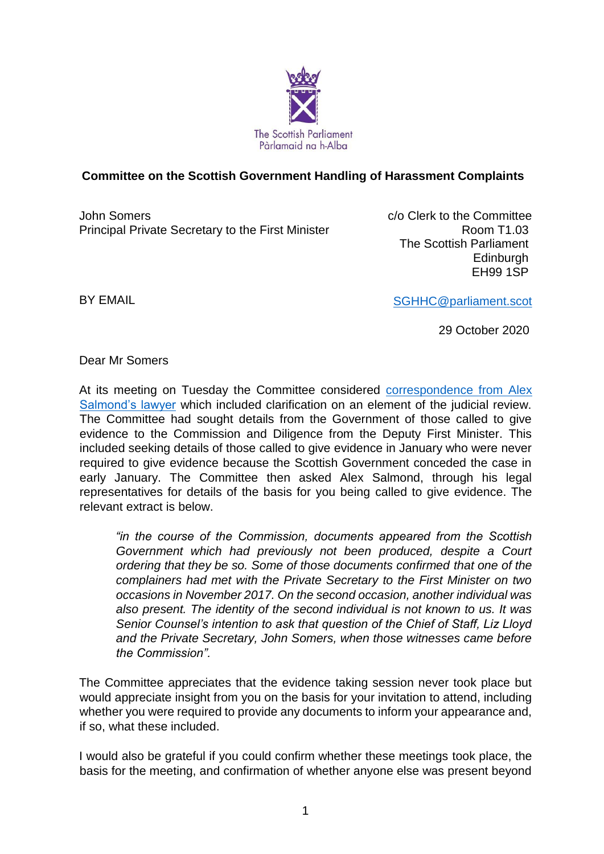

# **Committee on the Scottish Government Handling of Harassment Complaints**

John Somers Principal Private Secretary to the First Minister c/o Clerk to the Committee Room T1.03 The Scottish Parliament **Edinburgh** EH99 1SP

BY EMAIL

[SGHHC@parliament.scot](mailto:SGHHC@parliament.scot)

29 October 2020

Dear Mr Somers

At its meeting on Tuesday the Committee considered correspondence from Alex Salmond's lawyer which included clarification on an element of the judicial review. The Committee had sought details from the Government of those called to give evidence to the Commission and Diligence from the Deputy First Minister. This included seeking details of those called to give evidence in January who were never required to give evidence because the Scottish Government conceded the case in early January. The Committee then asked Alex Salmond, through his legal representatives for details of the basis for you being called to give evidence. The relevant extract is below.

*"in the course of the Commission, documents appeared from the Scottish Government which had previously not been produced, despite a Court ordering that they be so. Some of those documents confirmed that one of the complainers had met with the Private Secretary to the First Minister on two occasions in November 2017. On the second occasion, another individual was also present. The identity of the second individual is not known to us. It was Senior Counsel's intention to ask that question of the Chief of Staff, Liz Lloyd and the Private Secretary, John Somers, when those witnesses came before the Commission".*

The Committee appreciates that the evidence taking session never took place but would appreciate insight from you on the basis for your invitation to attend, including whether you were required to provide any documents to inform your appearance and, if so, what these included.

I would also be grateful if you could confirm whether these meetings took place, the basis for the meeting, and confirmation of whether anyone else was present beyond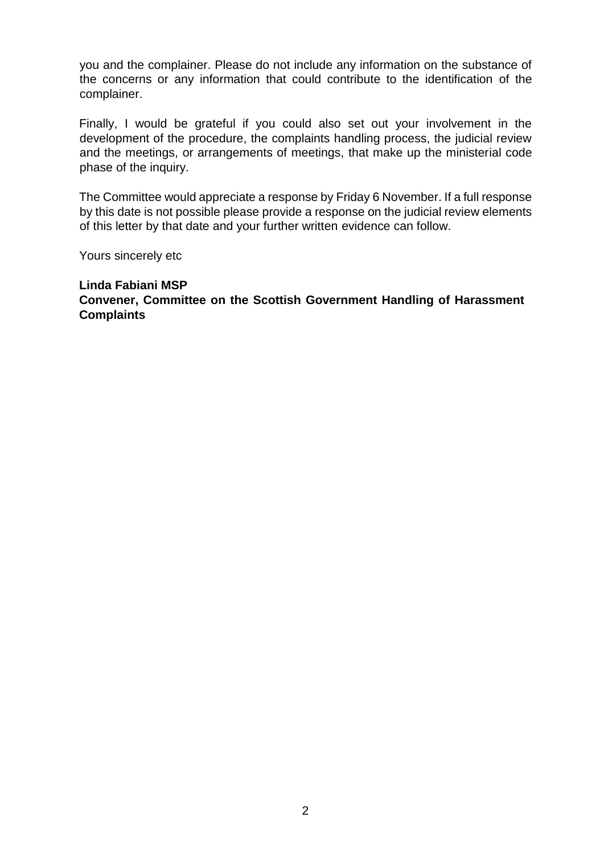you and the complainer. Please do not include any information on the substance of the concerns or any information that could contribute to the identification of the complainer.

Finally, I would be grateful if you could also set out your involvement in the development of the procedure, the complaints handling process, the judicial review and the meetings, or arrangements of meetings, that make up the ministerial code phase of the inquiry.

The Committee would appreciate a response by Friday 6 November. If a full response by this date is not possible please provide a response on the judicial review elements of this letter by that date and your further written evidence can follow.

Yours sincerely etc

#### **Linda Fabiani MSP Convener, Committee on the Scottish Government Handling of Harassment Complaints**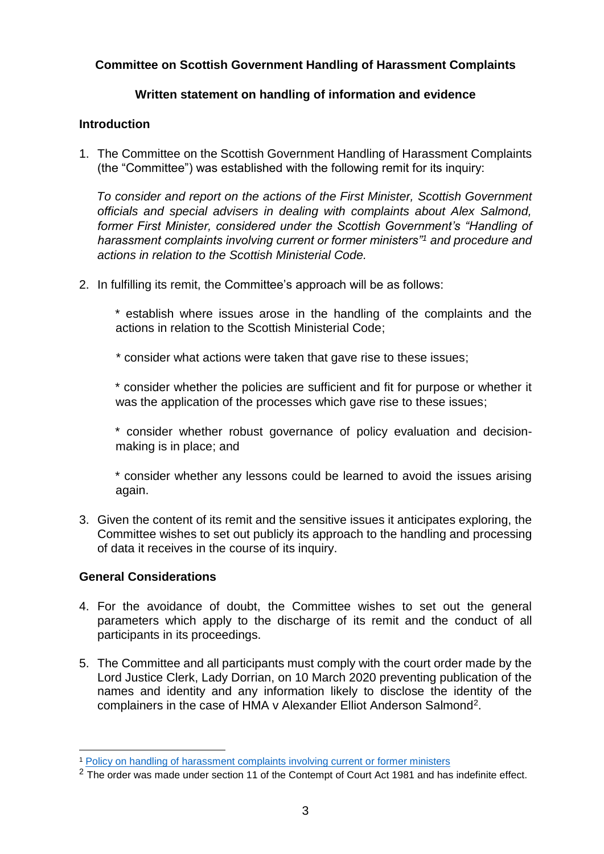## **Committee on Scottish Government Handling of Harassment Complaints**

## **Written statement on handling of information and evidence**

#### **Introduction**

1. The Committee on the Scottish Government Handling of Harassment Complaints (the "Committee") was established with the following remit for its inquiry:

*To consider and report on the actions of the First Minister, Scottish Government officials and special advisers in dealing with complaints about Alex Salmond, former First Minister, considered under the Scottish Government's "Handling of harassment complaints involving current or former ministers"<sup>1</sup> and procedure and actions in relation to the Scottish Ministerial Code.*

2. In fulfilling its remit, the Committee's approach will be as follows:

\* establish where issues arose in the handling of the complaints and the actions in relation to the Scottish Ministerial Code;

\* consider what actions were taken that gave rise to these issues;

\* consider whether the policies are sufficient and fit for purpose or whether it was the application of the processes which gave rise to these issues;

\* consider whether robust governance of policy evaluation and decisionmaking is in place; and

\* consider whether any lessons could be learned to avoid the issues arising again.

3. Given the content of its remit and the sensitive issues it anticipates exploring, the Committee wishes to set out publicly its approach to the handling and processing of data it receives in the course of its inquiry.

## **General Considerations**

- 4. For the avoidance of doubt, the Committee wishes to set out the general parameters which apply to the discharge of its remit and the conduct of all participants in its proceedings.
- 5. The Committee and all participants must comply with the court order made by the Lord Justice Clerk, Lady Dorrian, on 10 March 2020 preventing publication of the names and identity and any information likely to disclose the identity of the complainers in the case of HMA v Alexander Elliot Anderson Salmond<sup>2</sup>.

<sup>1</sup> <sup>1</sup> [Policy on handling of harassment complaints involving current or](https://www.gov.scot/publications/handling-of-harassment-complaints-involving-current-or-former-ministers/) former ministers

<sup>&</sup>lt;sup>2</sup> The order was made under section 11 of the Contempt of Court Act 1981 and has indefinite effect.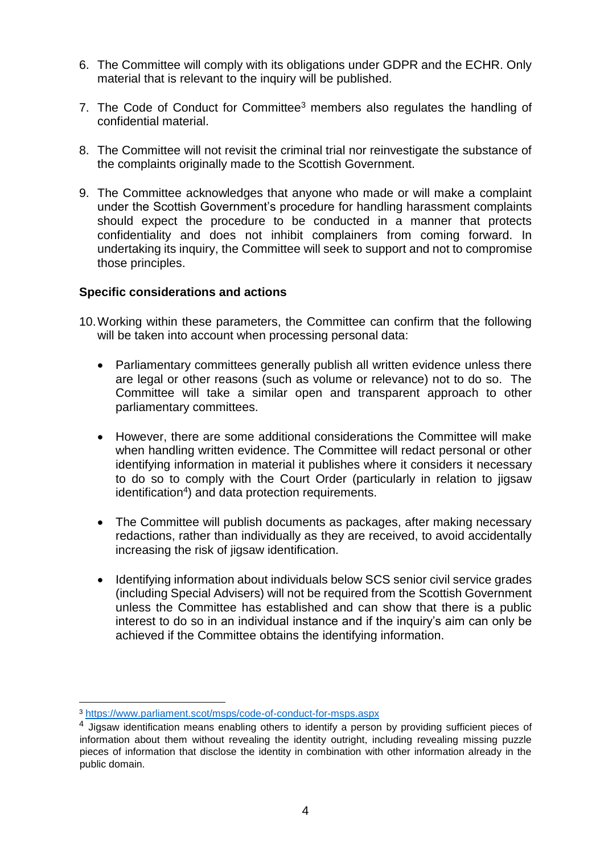- 6. The Committee will comply with its obligations under GDPR and the ECHR. Only material that is relevant to the inquiry will be published.
- 7. The Code of Conduct for Committee<sup>3</sup> members also regulates the handling of confidential material.
- 8. The Committee will not revisit the criminal trial nor reinvestigate the substance of the complaints originally made to the Scottish Government.
- 9. The Committee acknowledges that anyone who made or will make a complaint under the Scottish Government's procedure for handling harassment complaints should expect the procedure to be conducted in a manner that protects confidentiality and does not inhibit complainers from coming forward. In undertaking its inquiry, the Committee will seek to support and not to compromise those principles.

#### **Specific considerations and actions**

- 10.Working within these parameters, the Committee can confirm that the following will be taken into account when processing personal data:
	- Parliamentary committees generally publish all written evidence unless there are legal or other reasons (such as volume or relevance) not to do so. The Committee will take a similar open and transparent approach to other parliamentary committees.
	- However, there are some additional considerations the Committee will make when handling written evidence. The Committee will redact personal or other identifying information in material it publishes where it considers it necessary to do so to comply with the Court Order (particularly in relation to jigsaw identification<sup>4</sup>) and data protection requirements.
	- The Committee will publish documents as packages, after making necessary redactions, rather than individually as they are received, to avoid accidentally increasing the risk of jigsaw identification.
	- Identifying information about individuals below SCS senior civil service grades (including Special Advisers) will not be required from the Scottish Government unless the Committee has established and can show that there is a public interest to do so in an individual instance and if the inquiry's aim can only be achieved if the Committee obtains the identifying information.

1

<sup>3</sup> <https://www.parliament.scot/msps/code-of-conduct-for-msps.aspx>

 $<sup>4</sup>$  Jigsaw identification means enabling others to identify a person by providing sufficient pieces of</sup> information about them without revealing the identity outright, including revealing missing puzzle pieces of information that disclose the identity in combination with other information already in the public domain.